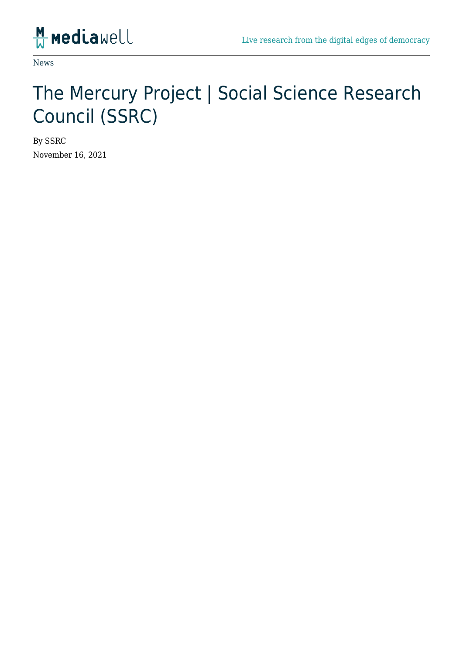

News

## The Mercury Project | Social Science Research Council (SSRC)

By SSRC November 16, 2021